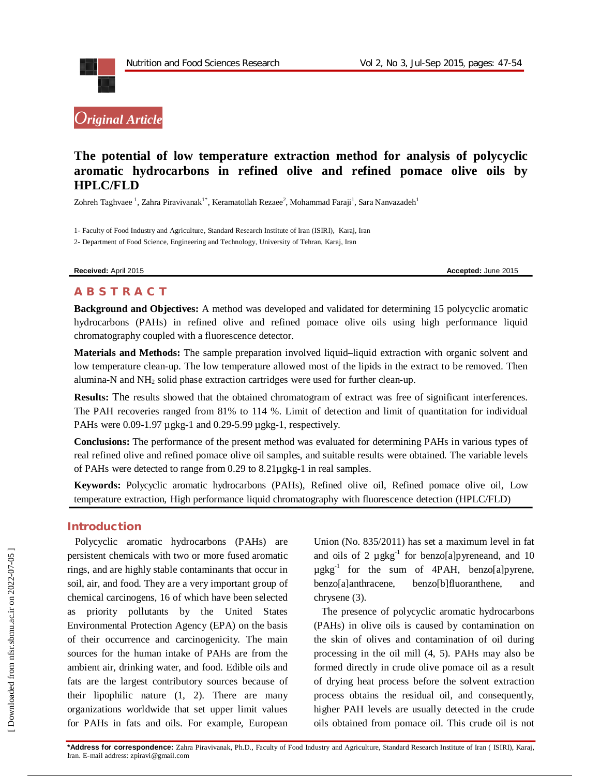



# **The potential of low temperature extraction method for analysis of polycyclic aromatic hydrocarbons in refined olive and refined pomace olive oils by HPLC/FLD**

Zohreh Taghvaee  $^1$ , Zahra Piravivanak $^{1^*}$ , Keramatollah Rezaee $^2$ , Mohammad Faraji $^1$ , Sara Nanvazadeh $^1$ 

1- Faculty of Food Industry and Agriculture, Standard Research Institute of Iran (ISIRI), Karaj, Iran

2- Department of Food Science, Engineering and Technology, University of Tehran, Karaj, Iran

**Received:** April 2015 **Accepted:** June 2015

# **A B S T R A C T**

**Background and Objectives:** A method was developed and validated for determining 15 polycyclic aromatic hydrocarbons (PAHs) in refined olive and refined pomace olive oils using high performance liquid chromatography coupled with a fluorescence detector.

**Materials and Methods:** The sample preparation involved liquid–liquid extraction with organic solvent and low temperature clean-up. The low temperature allowed most of the lipids in the extract to be removed. Then alumina-N and NH<sup>2</sup> solid phase extraction cartridges were used for further clean-up.

**Results:** The results showed that the obtained chromatogram of extract was free of significant interferences. The PAH recoveries ranged from 81% to 114 %. Limit of detection and limit of quantitation for individual PAHs were 0.09-1.97 µgkg-1 and 0.29-5.99 µgkg-1, respectively.

**Conclusions:** The performance of the present method was evaluated for determining PAHs in various types of real refined olive and refined pomace olive oil samples, and suitable results were obtained. The variable levels of PAHs were detected to range from 0.29 to 8.21µgkg-1 in real samples.

**Keywords:** Polycyclic aromatic hydrocarbons (PAHs), Refined olive oil, Refined pomace olive oil, Low temperature extraction, High performance liquid chromatography with fluorescence detection (HPLC/FLD)

## **Introduction**

Polycyclic aromatic hydrocarbons (PAHs) are persistent chemicals with two or more fused aromatic rings, and are highly stable contaminants that occur in soil, air, and food. They are a very important group of chemical carcinogens, 16 of which have been selected as priority pollutants by the United States Environmental Protection Agency (EPA) on the basis of their occurrence and carcinogenicity. The main sources for the human intake of PAHs are from the ambient air, drinking water, and food. Edible oils and fats are the largest contributory sources because of their lipophilic nature (1, 2). There are many organizations worldwide that set upper limit values for PAHs in fats and oils. For example, European

Union (No. 835/2011) has set a maximum level in fat and oils of 2  $\mu$ gkg<sup>-1</sup> for benzo[a]pyreneand, and 10  $\mu$ gkg<sup>-1</sup> for the sum of 4PAH, benzo[a]pyrene, benzo[a]anthracene, benzo[b]fluoranthene, and chrysene (3).

The presence of polycyclic aromatic hydrocarbons (PAHs) in olive oils is caused by contamination on the skin of olives and contamination of oil during processing in the oil mill (4, 5). PAHs may also be formed directly in crude olive pomace oil as a result of drying heat process before the solvent extraction process obtains the residual oil, and consequently, higher PAH levels are usually detected in the crude oils obtained from pomace oil. This crude oil is not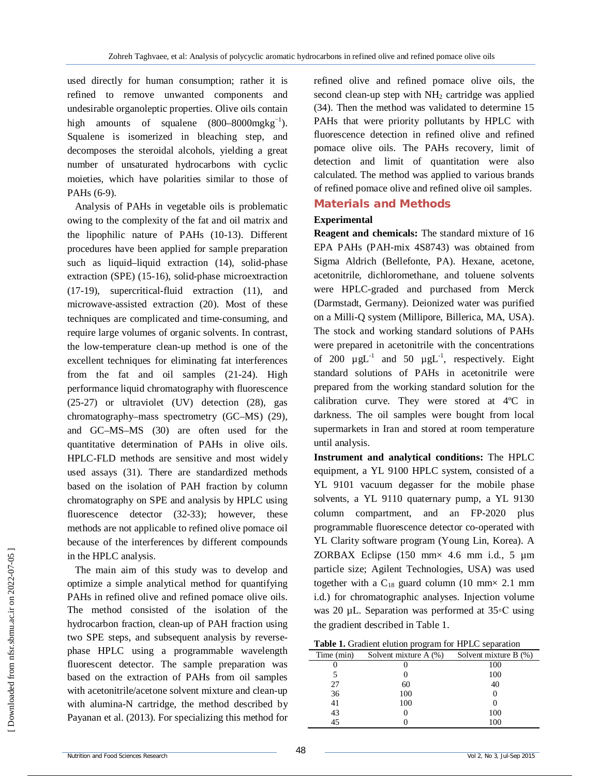used directly for human consumption; rather it is refined to remove unwanted components and undesirable organoleptic properties. Olive oils contain high amounts of squalene  $(800–8000mgkg^{-1})$ . Squalene is isomerized in bleaching step, and decomposes the steroidal alcohols, yielding a great number of unsaturated hydrocarbons with cyclic moieties, which have polarities similar to those of PAHs (6-9).

Analysis of PAHs in vegetable oils is problematic owing to the complexity of the fat and oil matrix and the lipophilic nature of PAHs (10-13). Different procedures have been applied for sample preparation such as liquid–liquid extraction (14), solid-phase extraction (SPE) (15-16), solid-phase microextraction (17-19), supercritical-fluid extraction (11), and microwave-assisted extraction (20). Most of these techniques are complicated and time-consuming, and require large volumes of organic solvents. In contrast, the low-temperature clean-up method is one of the excellent techniques for eliminating fat interferences from the fat and oil samples (21-24). High performance liquid chromatography with fluorescence (25-27) or ultraviolet (UV) detection (28), gas chromatography–mass spectrometry (GC–MS) (29), and GC–MS–MS (30) are often used for the quantitative determination of PAHs in olive oils. HPLC-FLD methods are sensitive and most widely used assays (31). There are standardized methods based on the isolation of PAH fraction by column chromatography on SPE and analysis by HPLC using fluorescence detector (32-33); however, these methods are not applicable to refined olive pomace oil because of the interferences by different compounds in the HPLC analysis.

The main aim of this study was to develop and optimize a simple analytical method for quantifying PAHs in refined olive and refined pomace olive oils. The method consisted of the isolation of the hydrocarbon fraction, clean-up of PAH fraction using two SPE steps, and subsequent analysis by reversephase HPLC using a programmable wavelength fluorescent detector. The sample preparation was based on the extraction of PAHs from oil samples with acetonitrile/acetone solvent mixture and clean-up with alumina-N cartridge, the method described by Payanan et al. (2013). For specializing this method for

refined olive and refined pomace olive oils, the second clean-up step with  $NH<sub>2</sub>$  cartridge was applied (34). Then the method was validated to determine 15 PAHs that were priority pollutants by HPLC with fluorescence detection in refined olive and refined pomace olive oils. The PAHs recovery, limit of detection and limit of quantitation were also calculated. The method was applied to various brands of refined pomace olive and refined olive oil samples.

# **Materials and Methods**

### **Experimental**

**Reagent and chemicals:** The standard mixture of 16 EPA PAHs (PAH-mix 4S8743) was obtained from Sigma Aldrich (Bellefonte, PA). Hexane, acetone, acetonitrile, dichloromethane, and toluene solvents were HPLC-graded and purchased from Merck (Darmstadt, Germany). Deionized water was purified on a Milli-Q system (Millipore, Billerica, MA, USA). The stock and working standard solutions of PAHs were prepared in acetonitrile with the concentrations of 200  $\mu g L^{-1}$  and 50  $\mu g L^{-1}$ , respectively. Eight standard solutions of PAHs in acetonitrile were prepared from the working standard solution for the calibration curve. They were stored at 4ºC in darkness. The oil samples were bought from local supermarkets in Iran and stored at room temperature until analysis.

**Instrument and analytical conditions:** The HPLC equipment, a YL 9100 HPLC system, consisted of a YL 9101 vacuum degasser for the mobile phase solvents, a YL 9110 quaternary pump, a YL 9130 column compartment, and an FP-2020 plus programmable fluorescence detector co-operated with YL Clarity software program (Young Lin, Korea). A ZORBAX Eclipse (150 mm× 4.6 mm i.d., 5 µm particle size; Agilent Technologies, USA) was used together with a  $C_{18}$  guard column (10 mm× 2.1 mm i.d.) for chromatographic analyses. Injection volume was 20 µL. Separation was performed at 35◦C using the gradient described in Table 1.

**Table 1.** Gradient elution program for HPLC separation

|            | ັ                     |                       |
|------------|-----------------------|-----------------------|
| Time (min) | Solvent mixture A (%) | Solvent mixture B (%) |
|            |                       | 100                   |
|            |                       | 100                   |
| 27         | 60                    | 40                    |
| 36         | 100                   | O                     |
| 41         | 100                   |                       |
|            |                       | 100                   |
| 43<br>45   |                       | 100                   |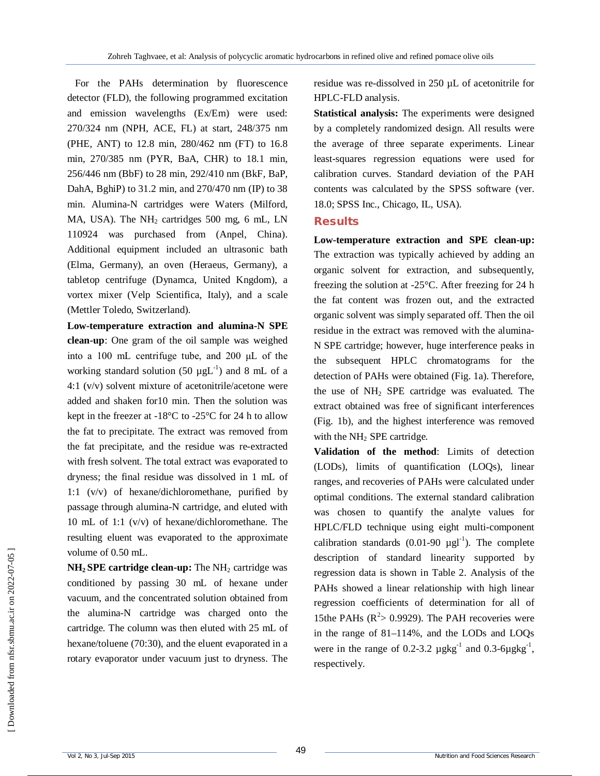For the PAHs determination by fluorescence detector (FLD), the following programmed excitation and emission wavelengths (Ex/Em) were used: 270/324 nm (NPH, ACE, FL) at start, 248/375 nm (PHE, ANT) to 12.8 min, 280/462 nm (FT) to 16.8 min, 270/385 nm (PYR, BaA, CHR) to 18.1 min, 256/446 nm (BbF) to 28 min, 292/410 nm (BkF, BaP, DahA, BghiP) to 31.2 min, and 270/470 nm (IP) to 38 min. Alumina-N cartridges were Waters (Milford, MA, USA). The  $NH<sub>2</sub>$  cartridges 500 mg, 6 mL, LN 110924 was purchased from (Anpel, China). Additional equipment included an ultrasonic bath (Elma, Germany), an oven (Heraeus, Germany), a tabletop centrifuge (Dynamca, United Kngdom), a vortex mixer (Velp Scientifica, Italy), and a scale (Mettler Toledo, Switzerland).

**Low-temperature extraction and alumina-N SPE clean-up**: One gram of the oil sample was weighed into a 100 mL centrifuge tube, and 200 μL of the working standard solution (50  $\mu gL^{-1}$ ) and 8 mL of a 4:1 (v/v) solvent mixture of acetonitrile/acetone were added and shaken for10 min. Then the solution was kept in the freezer at -18°C to -25°C for 24 h to allow the fat to precipitate. The extract was removed from the fat precipitate, and the residue was re-extracted with fresh solvent. The total extract was evaporated to dryness; the final residue was dissolved in 1 mL of 1:1 (v/v) of hexane/dichloromethane, purified by passage through alumina-N cartridge, and eluted with 10 mL of 1:1 (v/v) of hexane/dichloromethane. The resulting eluent was evaporated to the approximate volume of 0.50 mL.

 $NH<sub>2</sub>$  **SPE cartridge clean-up:** The  $NH<sub>2</sub>$  cartridge was conditioned by passing 30 mL of hexane under vacuum, and the concentrated solution obtained from the alumina-N cartridge was charged onto the cartridge. The column was then eluted with 25 mL of hexane/toluene (70:30), and the eluent evaporated in a rotary evaporator under vacuum just to dryness. The residue was re-dissolved in 250 µL of acetonitrile for HPLC-FLD analysis.

**Statistical analysis:** The experiments were designed by a completely randomized design. All results were the average of three separate experiments. Linear least-squares regression equations were used for calibration curves. Standard deviation of the PAH contents was calculated by the SPSS software (ver. 18.0; SPSS Inc., Chicago, IL, USA).

#### **Results**

**Low-temperature extraction and SPE clean-up:**  The extraction was typically achieved by adding an organic solvent for extraction, and subsequently, freezing the solution at -25°C. After freezing for 24 h the fat content was frozen out, and the extracted organic solvent was simply separated off. Then the oil residue in the extract was removed with the alumina-N SPE cartridge; however, huge interference peaks in the subsequent HPLC chromatograms for the detection of PAHs were obtained (Fig. 1a). Therefore, the use of  $NH<sub>2</sub>$  SPE cartridge was evaluated. The extract obtained was free of significant interferences (Fig. 1b), and the highest interference was removed with the  $NH<sub>2</sub>$  SPE cartridge.

**Validation of the method**: Limits of detection (LODs), limits of quantification (LOQs), linear ranges, and recoveries of PAHs were calculated under optimal conditions. The external standard calibration was chosen to quantify the analyte values for HPLC/FLD technique using eight multi-component calibration standards  $(0.01-90 \mu g l^{-1})$ . The complete description of standard linearity supported by regression data is shown in Table 2. Analysis of the PAHs showed a linear relationship with high linear regression coefficients of determination for all of 15the PAHs  $(R^2 > 0.9929)$ . The PAH recoveries were in the range of 81–114%, and the LODs and LOQs were in the range of 0.2-3.2  $\mu$ gkg<sup>-1</sup> and 0.3-6 $\mu$ gkg<sup>-1</sup>, respectively.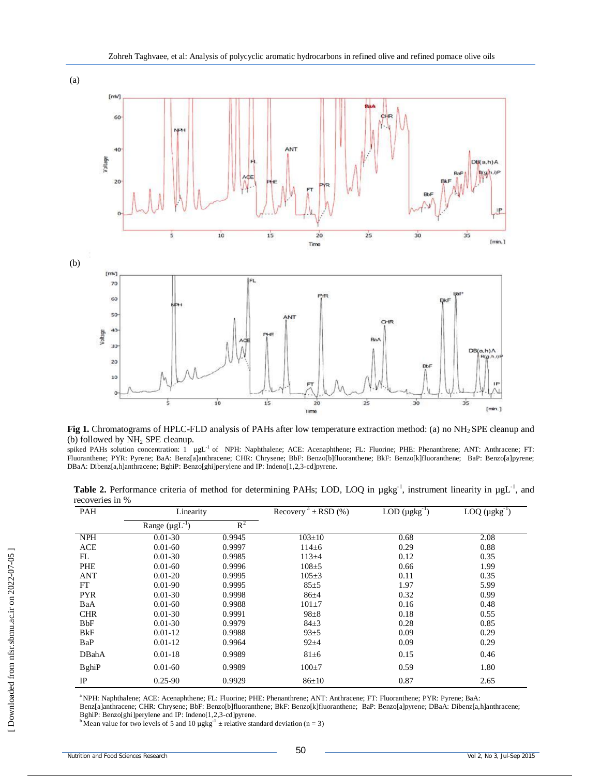



**Fig 1.** Chromatograms of HPLC-FLD analysis of PAHs after low temperature extraction method: (a) no NH2 SPE cleanup and (b) followed by NH<sup>2</sup> SPE cleanup.

spiked PAHs solution concentration: 1 µgL<sup>-1</sup> of NPH: Naphthalene; ACE: Acenaphthene; FL: Fluorine; PHE: Phenanthrene; ANT: Anthracene; FT: Fluoranthene; PYR: Pyrene; BaA: Benz[a]anthracene; CHR: Chrysene; BbF: Benzo[b]fluoranthene; BkF: Benzo[k]fluoranthene; BaP: Benzo[a]pyrene; DBaA: Dibenz[a,h]anthracene; BghiP: Benzo[ghi]perylene and IP: Indeno[1,2,3-cd]pyrene.

Table 2. Performance criteria of method for determining PAHs; LOD, LOQ in µgkg<sup>-1</sup>, instrument linearity in µgL<sup>-1</sup>, and recoveries in %

| PAH           | Linearity              |        | Recovery $a \pm RSD(%)$ | LOD $(\mu g kg^{-1})$ | LOQ $(\mu g kg^{-1})$ |
|---------------|------------------------|--------|-------------------------|-----------------------|-----------------------|
|               | Range $(\mu g L^{-1})$ | $R^2$  |                         |                       |                       |
| <b>NPH</b>    | $0.01 - 30$            | 0.9945 | $103 \pm 10$            | 0.68                  | 2.08                  |
| <b>ACE</b>    | $0.01 - 60$            | 0.9997 | $114\pm 6$              | 0.29                  | 0.88                  |
| FL            | $0.01 - 30$            | 0.9985 | $113 + 4$               | 0.12                  | 0.35                  |
| PHE           | $0.01 - 60$            | 0.9996 | $108 + 5$               | 0.66                  | 1.99                  |
| <b>ANT</b>    | $0.01 - 20$            | 0.9995 | $105 \pm 3$             | 0.11                  | 0.35                  |
| FT            | $0.01 - 90$            | 0.9995 | 85±5                    | 1.97                  | 5.99                  |
| <b>PYR</b>    | $0.01 - 30$            | 0.9998 | $86+4$                  | 0.32                  | 0.99                  |
| BaA           | $0.01 - 60$            | 0.9988 | $101 + 7$               | 0.16                  | 0.48                  |
| <b>CHR</b>    | $0.01 - 30$            | 0.9991 | $98 + 8$                | 0.18                  | 0.55                  |
| BbF           | $0.01 - 30$            | 0.9979 | $84\pm3$                | 0.28                  | 0.85                  |
| BkF           | $0.01 - 12$            | 0.9988 | 93±5                    | 0.09                  | 0.29                  |
| BaP           | $0.01 - 12$            | 0.9964 | $92+4$                  | 0.09                  | 0.29                  |
| DBahA         | $0.01 - 18$            | 0.9989 | $81\pm6$                | 0.15                  | 0.46                  |
| <b>B</b> ghiP | $0.01 - 60$            | 0.9989 | $100+7$                 | 0.59                  | 1.80                  |
| IP            | $0.25 - 90$            | 0.9929 | $86 \pm 10$             | 0.87                  | 2.65                  |

<sup>a</sup>NPH: Naphthalene; ACE: Acenaphthene; FL: Fluorine; PHE: Phenanthrene; ANT: Anthracene; FT: Fluoranthene; PYR: Pyrene; BaA:

Benz[a]anthracene; CHR: Chrysene; BbF: Benzo[b]fluoranthene; BkF: Benzo[k]fluoranthene; BaP: Benzo[a]pyrene; DBaA: Dibenz[a,h]anthracene; BghiP: Benzo[ghi]perylene and IP: Indeno[1,2,3-cd]pyrene.<br><sup>b</sup> Mean value for two levels of 5 and 10 µgkg<sup>-1</sup> ± relative standard deviation (n = 3)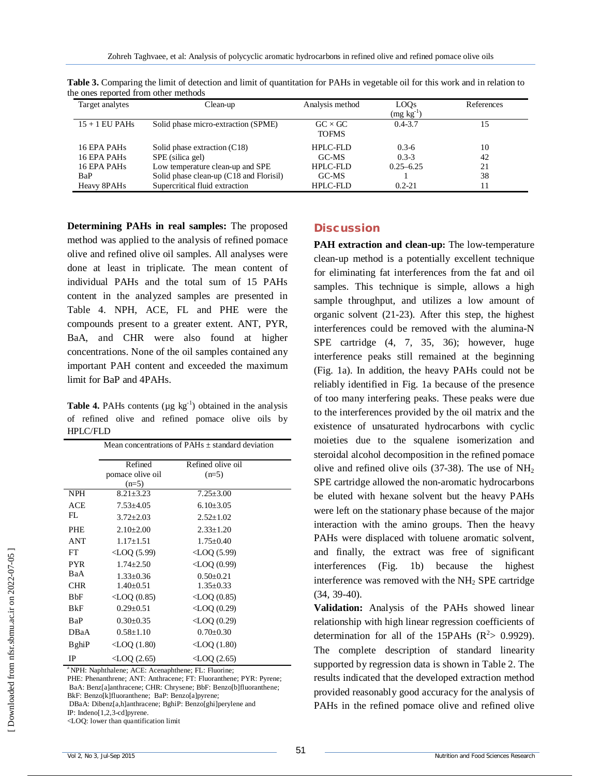| Target analytes         | Clean-up                                  | Analysis method | LOQ <sub>S</sub> | References |
|-------------------------|-------------------------------------------|-----------------|------------------|------------|
|                         |                                           |                 | $(mg kg-1)$      |            |
| $15 + 1$ EU PAHs        | Solid phase micro-extraction (SPME)       | $GC \times GC$  | $0.4 - 3.7$      | 15         |
|                         |                                           | <b>TOFMS</b>    |                  |            |
| 16 EPA PAH <sub>s</sub> | Solid phase extraction $(C18)$            | HPLC-FLD        | $0.3-6$          | 10         |
| 16 EPA PAHs             | SPE (silica gel)                          | GC-MS           | $0.3 - 3$        | 42         |
| 16 EPA PAH <sub>s</sub> | Low temperature clean-up and SPE          | $HPIC-FLD$      | $0.25 - 6.25$    | 21         |
| BaP                     | Solid phase clean-up $(C18$ and Florisil) | GC-MS           |                  | 38         |
| Heavy 8PAHs             | Supercritical fluid extraction            | <b>HPLC-FLD</b> | $0.2 - 21$       |            |

**Table 3.** Comparing the limit of detection and limit of quantitation for PAHs in vegetable oil for this work and in relation to the ones reported from other methods

**Determining PAHs in real samples:** The proposed method was applied to the analysis of refined pomace olive and refined olive oil samples. All analyses were done at least in triplicate. The mean content of individual PAHs and the total sum of 15 PAHs content in the analyzed samples are presented in Table 4. NPH, ACE, FL and PHE were the compounds present to a greater extent. ANT, PYR, BaA, and CHR were also found at higher concentrations. None of the oil samples contained any important PAH content and exceeded the maximum limit for BaP and 4PAHs.

**Table 4.** PAHs contents ( $\mu$ g  $\text{kg}^{-1}$ ) obtained in the analysis of refined olive and refined pomace olive oils by HPLC/FLD

|               | Mean concentrations of PAHs $\pm$ standard deviation |                          |  |
|---------------|------------------------------------------------------|--------------------------|--|
|               | Refined                                              | Refined olive oil        |  |
|               | pomace olive oil                                     | $(n=5)$                  |  |
|               | $(n=5)$                                              |                          |  |
| <b>NPH</b>    | $8.21 \pm 3.23$                                      | $7.25 \pm 3.00$          |  |
| ACE           | $7.53 \pm 4.05$                                      | $6.10\pm3.05$            |  |
| FL            | $3.72 \pm 2.03$                                      | $2.52 \pm 1.02$          |  |
| <b>PHE</b>    | $2.10 \pm 2.00$                                      | $2.33 \pm 1.20$          |  |
| <b>ANT</b>    | $1.17 \pm 1.51$                                      | $1.75 \pm 0.40$          |  |
| FT            | $\langle$ LOQ (5.99)                                 | $\langle$ LOQ (5.99)     |  |
| <b>PYR</b>    | $1.74 \pm 2.50$                                      | $\triangle$ LOQ (0.99)   |  |
| BaA           | $1.33 \pm 0.36$                                      | $0.50 \pm 0.21$          |  |
| <b>CHR</b>    | $1.40 \pm 0.51$                                      | $1.35 \pm 0.33$          |  |
| BbF           | $\langle$ LOQ (0.85)                                 | $\triangle$ LOQ (0.85)   |  |
| BkF           | $0.29 \pm 0.51$                                      | $\triangle$ LOQ (0.29)   |  |
| BaP           | $0.30 \pm 0.35$                                      | $\triangle$ LOQ (0.29)   |  |
| DBaA          | $0.58 \pm 1.10$                                      | $0.70 \pm 0.30$          |  |
| <b>B</b> ghiP | $\langle$ LOQ (1.80)                                 | $\triangle$ LOQ $(1.80)$ |  |
| IP            | $\langle$ LOQ (2.65)                                 | $\triangle$ LOQ (2.65)   |  |

<sup>a</sup>NPH: Naphthalene; ACE: Acenaphthene; FL: Fluorine;

PHE: Phenanthrene; ANT: Anthracene; FT: Fluoranthene; PYR: Pyrene; BaA: Benz[a]anthracene; CHR: Chrysene; BbF: Benzo[b]fluoranthene; BkF: Benzo[k]fluoranthene; BaP: Benzo[a]pyrene;

DBaA: Dibenz[a,h]anthracene; BghiP: Benzo[ghi]perylene and

IP: Indeno[1,2,3-cd]pyrene.

<LOQ: lower than quantification limit

# **Discussion**

**PAH extraction and clean-up:** The low-temperature clean-up method is a potentially excellent technique for eliminating fat interferences from the fat and oil samples. This technique is simple, allows a high sample throughput, and utilizes a low amount of organic solvent (21-23). After this step, the highest interferences could be removed with the alumina-N SPE cartridge (4, 7, 35, 36); however, huge interference peaks still remained at the beginning (Fig. 1a). In addition, the heavy PAHs could not be reliably identified in Fig. 1a because of the presence of too many interfering peaks. These peaks were due to the interferences provided by the oil matrix and the existence of unsaturated hydrocarbons with cyclic moieties due to the squalene isomerization and steroidal alcohol decomposition in the refined pomace olive and refined olive oils (37-38). The use of  $NH<sub>2</sub>$ SPE cartridge allowed the non-aromatic hydrocarbons be eluted with hexane solvent but the heavy PAHs were left on the stationary phase because of the major interaction with the amino groups. Then the heavy PAHs were displaced with toluene aromatic solvent, and finally, the extract was free of significant interferences (Fig. 1b) because the highest interference was removed with the  $NH<sub>2</sub>$  SPE cartridge (34, 39-40).

**Validation:** Analysis of the PAHs showed linear relationship with high linear regression coefficients of determination for all of the 15PAHs  $(R^2> 0.9929)$ . The complete description of standard linearity supported by regression data is shown in Table 2. The results indicated that the developed extraction method provided reasonably good accuracy for the analysis of PAHs in the refined pomace olive and refined olive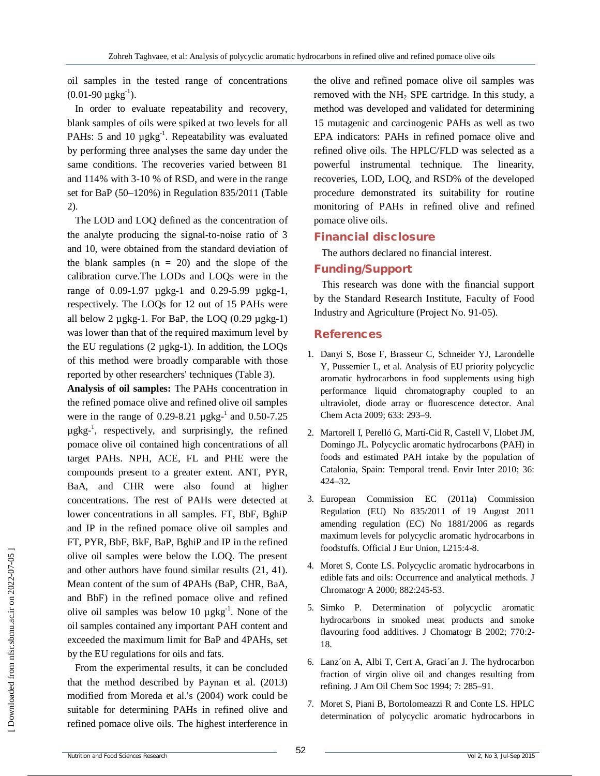oil samples in the tested range of concentrations  $(0.01-90 \mu g kg^{-1}).$ 

In order to evaluate repeatability and recovery, blank samples of oils were spiked at two levels for all PAHs: 5 and 10  $\mu$ gkg<sup>-1</sup>. Repeatability was evaluated by performing three analyses the same day under the same conditions. The recoveries varied between 81 and 114% with 3-10 % of RSD, and were in the range set for BaP (50–120%) in Regulation 835/2011 (Table 2).

The LOD and LOQ defined as the concentration of the analyte producing the signal-to-noise ratio of 3 and 10, were obtained from the standard deviation of the blank samples  $(n = 20)$  and the slope of the calibration curve.The LODs and LOQs were in the range of 0.09-1.97 µgkg-1 and 0.29-5.99 µgkg-1, respectively. The LOQs for 12 out of 15 PAHs were all below 2  $\mu$ gkg-1. For BaP, the LOQ (0.29  $\mu$ gkg-1) was lower than that of the required maximum level by the EU regulations (2 µgkg-1). In addition, the LOQs of this method were broadly comparable with those reported by other researchers' techniques (Table 3).

**Analysis of oil samples:** The PAHs concentration in the refined pomace olive and refined olive oil samples were in the range of 0.29-8.21  $\mu$ gkg<sup>-1</sup> and 0.50-7.25 µgkg-1 , respectively, and surprisingly, the refined pomace olive oil contained high concentrations of all target PAHs. NPH, ACE, FL and PHE were the compounds present to a greater extent. ANT, PYR, BaA, and CHR were also found at higher concentrations. The rest of PAHs were detected at lower concentrations in all samples. FT, BbF, BghiP and IP in the refined pomace olive oil samples and FT, PYR, BbF, BkF, BaP, BghiP and IP in the refined olive oil samples were below the LOQ. The present and other authors have found similar results (21, 41). Mean content of the sum of 4PAHs (BaP, CHR, BaA, and BbF) in the refined pomace olive and refined olive oil samples was below 10  $\mu$ gkg<sup>-1</sup>. None of the oil samples contained any important PAH content and exceeded the maximum limit for BaP and 4PAHs, set by the EU regulations for oils and fats.

From the experimental results, it can be concluded that the method described by Paynan et al. (2013) modified from Moreda et al.'s (2004) work could be suitable for determining PAHs in refined olive and refined pomace olive oils. The highest interference in the olive and refined pomace olive oil samples was removed with the  $NH<sub>2</sub>$  SPE cartridge. In this study, a method was developed and validated for determining 15 mutagenic and carcinogenic PAHs as well as two EPA indicators: PAHs in refined pomace olive and refined olive oils. The HPLC/FLD was selected as a powerful instrumental technique. The linearity, recoveries, LOD, LOQ, and RSD% of the developed procedure demonstrated its suitability for routine monitoring of PAHs in refined olive and refined pomace olive oils.

### **Financial disclosure**

The authors declared no financial interest.

## **Funding/Support**

This research was done with the financial support by the Standard Research Institute, Faculty of Food Industry and Agriculture (Project No. 91-05).

#### **References**

- 1. Danyi S, Bose F, Brasseur C, Schneider YJ, Larondelle Y, Pussemier L, et al. Analysis of EU priority polycyclic aromatic hydrocarbons in food supplements using high performance liquid chromatography coupled to an ultraviolet, diode array or fluorescence detector. Anal Chem Acta 2009; 633: 293–9.
- 2. Martorell I, Perelló G, Martí-Cid R, Castell V, Llobet JM, Domingo JL. Polycyclic aromatic hydrocarbons (PAH) in foods and estimated PAH intake by the population of Catalonia, Spain: Temporal trend. Envir Inter 2010; 36: 424–32**.**
- 3. European Commission EC (2011a) Commission Regulation (EU) No 835/2011 of 19 August 2011 amending regulation (EC) No 1881/2006 as regards maximum levels for polycyclic aromatic hydrocarbons in foodstuffs. Official J Eur Union, L215:4-8.
- 4. Moret S, Conte LS. Polycyclic aromatic hydrocarbons in edible fats and oils: Occurrence and analytical methods. J Chromatogr A 2000; 882:245-53.
- 5. Simko P. Determination of polycyclic aromatic hydrocarbons in smoked meat products and smoke flavouring food additives. J Chomatogr B 2002; 770:2- 18.
- 6. Lanz´on A, Albi T, Cert A, Graci´an J. The hydrocarbon fraction of virgin olive oil and changes resulting from refining. J Am Oil Chem Soc 1994; 7: 285–91.
- 7. Moret S, Piani B, Bortolomeazzi R and Conte LS. HPLC determination of polycyclic aromatic hydrocarbons in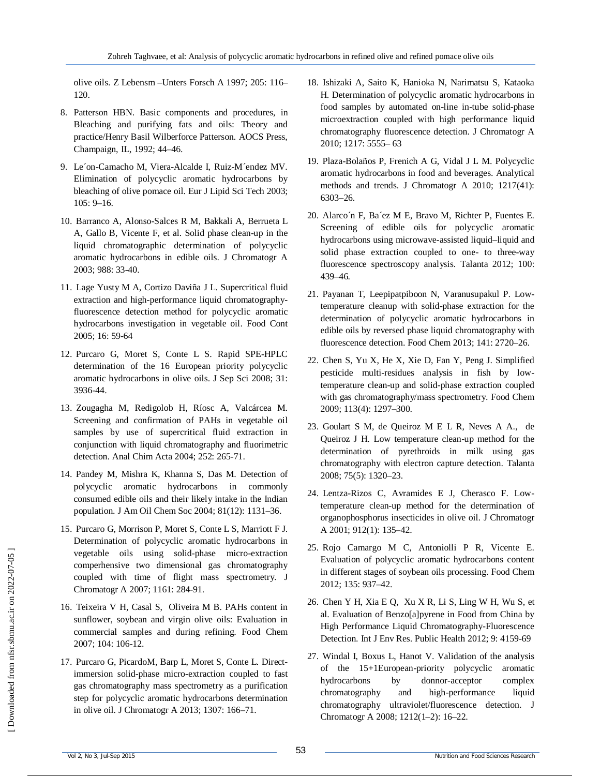olive oils. Z Lebensm –Unters Forsch A 1997; 205: 116– 120.

- 8. Patterson HBN. Basic components and procedures, in Bleaching and purifying fats and oils: Theory and practice/Henry Basil Wilberforce Patterson. AOCS Press, Champaign, IL, 1992; 44–46.
- 9. Le´on-Camacho M, Viera-Alcalde I, Ruiz-M´endez MV. Elimination of polycyclic aromatic hydrocarbons by bleaching of olive pomace oil. Eur J Lipid Sci Tech 2003; 105: 9–16.
- 10. Barranco A, Alonso-Salces R M, Bakkali A, Berrueta L A, Gallo B, Vicente F, et al. Solid phase clean-up in the liquid chromatographic determination of polycyclic aromatic hydrocarbons in edible oils. J Chromatogr A 2003; 988: 33-40.
- 11. Lage Yusty M A, Cortizo Daviña J L. Supercritical fluid extraction and high-performance liquid chromatographyfluorescence detection method for polycyclic aromatic hydrocarbons investigation in vegetable oil. Food Cont 2005; 16: 59-64
- 12. Purcaro G, Moret S, Conte L S. Rapid SPE-HPLC determination of the 16 European priority polycyclic aromatic hydrocarbons in olive oils. J Sep Sci 2008; 31: 3936-44.
- 13. Zougagha M, Redigolob H, Ríosc A, Valcárcea M. Screening and confirmation of PAHs in vegetable oil samples by use of supercritical fluid extraction in conjunction with liquid chromatography and fluorimetric detection. Anal Chim Acta 2004; 252: 265-71.
- 14. Pandey M, Mishra K, Khanna S, Das M. Detection of polycyclic aromatic hydrocarbons in commonly consumed edible oils and their likely intake in the Indian population. J Am Oil Chem Soc 2004; 81(12): 1131–36.
- 15. Purcaro G, Morrison P, Moret S, Conte L S, Marriott F J. Determination of polycyclic aromatic hydrocarbons in vegetable oils using solid-phase micro-extraction comperhensive two dimensional gas chromatography coupled with time of flight mass spectrometry. J Chromatogr A 2007; 1161: 284-91.
- 16. Teixeira V H, Casal S, Oliveira M B. PAHs content in sunflower, soybean and virgin olive oils: Evaluation in commercial samples and during refining. Food Chem 2007; 104: 106-12.
- 17. Purcaro G, PicardoM, Barp L, Moret S, Conte L. Directimmersion solid-phase micro-extraction coupled to fast gas chromatography mass spectrometry as a purification step for polycyclic aromatic hydrocarbons determination in olive oil. J Chromatogr A 2013; 1307: 166–71.
- 18. Ishizaki A, Saito K, Hanioka N, Narimatsu S, Kataoka H. Determination of polycyclic aromatic hydrocarbons in food samples by automated on-line in-tube solid-phase microextraction coupled with high performance liquid chromatography fluorescence detection. J Chromatogr A 2010; 1217: 5555– 63
- 19. Plaza-Bolaños P, Frenich A G, Vidal J L M. Polycyclic aromatic hydrocarbons in food and beverages. Analytical methods and trends. J Chromatogr A 2010; 1217(41): 6303–26.
- 20. Alarco´n F, Ba´ez M E, Bravo M, Richter P, Fuentes E. Screening of edible oils for polycyclic aromatic hydrocarbons using microwave-assisted liquid–liquid and solid phase extraction coupled to one- to three-way fluorescence spectroscopy analysis. Talanta 2012; 100: 439–46.
- 21. Payanan T, Leepipatpiboon N, Varanusupakul P. Lowtemperature cleanup with solid-phase extraction for the determination of polycyclic aromatic hydrocarbons in edible oils by reversed phase liquid chromatography with fluorescence detection. Food Chem 2013; 141: 2720–26.
- 22. Chen S, Yu X, He X, Xie D, Fan Y, Peng J. Simplified pesticide multi-residues analysis in fish by lowtemperature clean-up and solid-phase extraction coupled with gas chromatography/mass spectrometry. Food Chem 2009; 113(4): 1297–300.
- 23. Goulart S M, de Queiroz M E L R, Neves A A., de Queiroz J H. Low temperature clean-up method for the determination of pyrethroids in milk using gas chromatography with electron capture detection. Talanta 2008; 75(5): 1320–23.
- 24. Lentza-Rizos C, Avramides E J, Cherasco F. Lowtemperature clean-up method for the determination of organophosphorus insecticides in olive oil. J Chromatogr A 2001; 912(1): 135–42.
- 25. Rojo Camargo M C, Antoniolli P R, Vicente E. Evaluation of polycyclic aromatic hydrocarbons content in different stages of soybean oils processing. Food Chem 2012; 135: 937–42.
- 26. Chen Y H, Xia E Q, Xu X R, Li S, Ling W H, Wu S, et al. Evaluation of Benzo[a]pyrene in Food from China by High Performance Liquid Chromatography-Fluorescence Detection. Int J Env Res. Public Health 2012; 9: 4159-69
- 27. Windal I, Boxus L, Hanot V. Validation of the analysis of the 15+1European-priority polycyclic aromatic hydrocarbons by donnor-acceptor complex chromatography and high-performance liquid chromatography ultraviolet/fluorescence detection. J Chromatogr A 2008; 1212(1–2): 16–22.